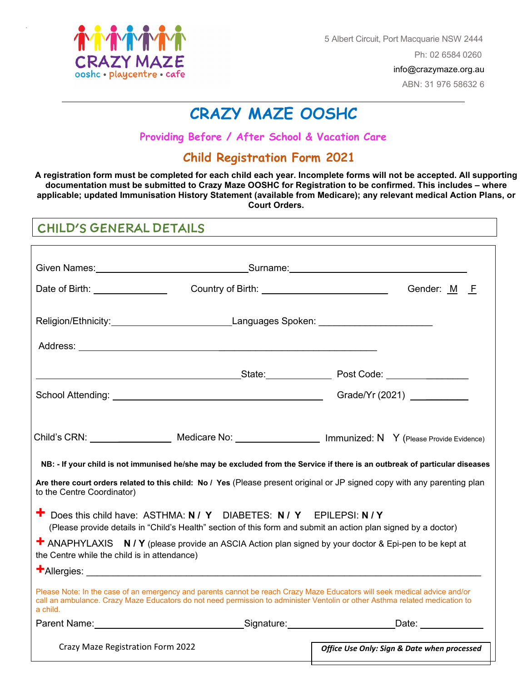

-

5 Albert Circuit, Port Macquarie NSW 2444

Ph: 02 6584 0260

info@crazymaze.org.au

ABN: 31 976 58632 6

# **CRAZY MAZE OOSHC**

**Providing Before / After School & Vacation Care**

## **Child Registration Form 2021**

**A registration form must be completed for each child each year. Incomplete forms will not be accepted. All supporting documentation must be submitted to Crazy Maze OOSHC for Registration to be confirmed. This includes – where applicable; updated Immunisation History Statement (available from Medicare); any relevant medical Action Plans, or Court Orders.** 

## CHILD'S GENERAL DETAILS

|                                              | Given Names: <u>New York: Surname:</u> Surname: Names: Names: Names: Names: Names: Names: Names: Names: Names: Names: N                                                                                                                                  |                                                                                                                                                                                                                                                                                                                                                                             |
|----------------------------------------------|----------------------------------------------------------------------------------------------------------------------------------------------------------------------------------------------------------------------------------------------------------|-----------------------------------------------------------------------------------------------------------------------------------------------------------------------------------------------------------------------------------------------------------------------------------------------------------------------------------------------------------------------------|
| Date of Birth: <u>______________________</u> |                                                                                                                                                                                                                                                          | Gender: M F                                                                                                                                                                                                                                                                                                                                                                 |
|                                              |                                                                                                                                                                                                                                                          |                                                                                                                                                                                                                                                                                                                                                                             |
|                                              |                                                                                                                                                                                                                                                          |                                                                                                                                                                                                                                                                                                                                                                             |
|                                              |                                                                                                                                                                                                                                                          |                                                                                                                                                                                                                                                                                                                                                                             |
|                                              |                                                                                                                                                                                                                                                          |                                                                                                                                                                                                                                                                                                                                                                             |
| to the Centre Coordinator)                   |                                                                                                                                                                                                                                                          | Child's CRN: _____________________ Medicare No: ______________________ Immunized: N Y (Please Provide Evidence)<br>NB: - If your child is not immunised he/she may be excluded from the Service if there is an outbreak of particular diseases<br>Are there court orders related to this child: No / Yes (Please present original or JP signed copy with any parenting plan |
|                                              | T Does this child have: ASTHMA: N / Y DIABETES: N / Y EPILEPSI: N / Y<br>(Please provide details in "Child's Health" section of this form and submit an action plan signed by a doctor)                                                                  |                                                                                                                                                                                                                                                                                                                                                                             |
| the Centre while the child is in attendance) | <b>+</b> ANAPHYLAXIS N / Y (please provide an ASCIA Action plan signed by your doctor & Epi-pen to be kept at                                                                                                                                            |                                                                                                                                                                                                                                                                                                                                                                             |
|                                              |                                                                                                                                                                                                                                                          |                                                                                                                                                                                                                                                                                                                                                                             |
| a child.                                     | Please Note: In the case of an emergency and parents cannot be reach Crazy Maze Educators will seek medical advice and/or<br>call an ambulance. Crazy Maze Educators do not need permission to administer Ventolin or other Asthma related medication to |                                                                                                                                                                                                                                                                                                                                                                             |
|                                              |                                                                                                                                                                                                                                                          | Parent Name: ___________________________________Signature:______________________Date: ______________                                                                                                                                                                                                                                                                        |
| Crazy Maze Registration Form 2022            |                                                                                                                                                                                                                                                          | Office Use Only: Sign & Date when processed                                                                                                                                                                                                                                                                                                                                 |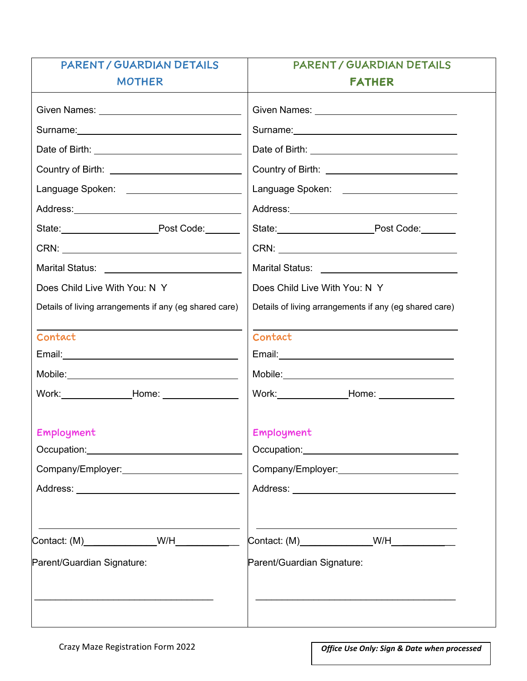| PARENT / GUARDIAN DETAILS                                                                                      | PARENT / GUARDIAN DETAILS                                                                           |  |  |  |
|----------------------------------------------------------------------------------------------------------------|-----------------------------------------------------------------------------------------------------|--|--|--|
| <b>MOTHER</b>                                                                                                  | <b>FATHER</b>                                                                                       |  |  |  |
| Given Names: University of Contract Contract Contract Contract Contract Contract Contract Contract Contract Co |                                                                                                     |  |  |  |
|                                                                                                                |                                                                                                     |  |  |  |
|                                                                                                                |                                                                                                     |  |  |  |
| Country of Birth: ______________________________                                                               | Country of Birth: _____________________________                                                     |  |  |  |
|                                                                                                                | Language Spoken: _______________________                                                            |  |  |  |
|                                                                                                                | Address: Andreas Address: Address: Address: Address: Address: Address: Address: Address: Address: A |  |  |  |
| State: Post Code:                                                                                              | State: Post Code: Flood Code:                                                                       |  |  |  |
| CRN: CRN:                                                                                                      |                                                                                                     |  |  |  |
|                                                                                                                |                                                                                                     |  |  |  |
| Does Child Live With You: N Y                                                                                  | Does Child Live With You: N Y                                                                       |  |  |  |
| Details of living arrangements if any (eg shared care)                                                         | Details of living arrangements if any (eg shared care)                                              |  |  |  |
| Contact                                                                                                        | Contact                                                                                             |  |  |  |
|                                                                                                                |                                                                                                     |  |  |  |
|                                                                                                                |                                                                                                     |  |  |  |
| Work: ______________________Home: ____________________                                                         | Work:_______________________Home: ______________________                                            |  |  |  |
| Employment                                                                                                     | Employment                                                                                          |  |  |  |
|                                                                                                                |                                                                                                     |  |  |  |
| Company/Employer:<br><u> Company/Employer:</u>                                                                 | Company/Employer:<br><u> Company/Employer:</u>                                                      |  |  |  |
|                                                                                                                |                                                                                                     |  |  |  |
| Contact: (M)________________W/H___________                                                                     | Contact: (M)_________________W/H_____________                                                       |  |  |  |
| Parent/Guardian Signature:                                                                                     | Parent/Guardian Signature:                                                                          |  |  |  |
|                                                                                                                |                                                                                                     |  |  |  |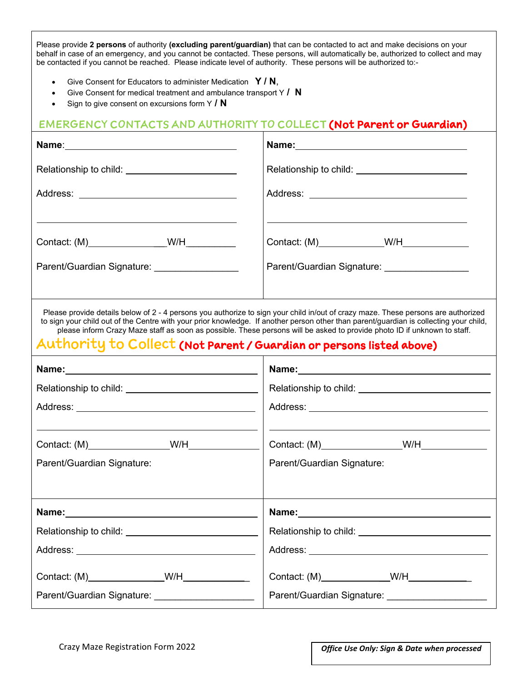Please provide **2 persons** of authority **(excluding parent/guardian)** that can be contacted to act and make decisions on your behalf in case of an emergency, and you cannot be contacted. These persons, will automatically be, authorized to collect and may be contacted if you cannot be reached. Please indicate level of authority. These persons will be authorized to:-

- Give Consent for Educators to administer Medication **Y / N**,
- Give Consent for medical treatment and ambulance transport Y **/ N**
- Sign to give consent on excursions form Y **/ N**

## EMERGENCY CONTACTS AND AUTHORITY TO COLLECT (Not Parent or Guardian)

|                                                                                                 | Relationship to child: _________________________                                                                                                                                                                                                                                                                                                                                                        |  |  |  |
|-------------------------------------------------------------------------------------------------|---------------------------------------------------------------------------------------------------------------------------------------------------------------------------------------------------------------------------------------------------------------------------------------------------------------------------------------------------------------------------------------------------------|--|--|--|
|                                                                                                 |                                                                                                                                                                                                                                                                                                                                                                                                         |  |  |  |
| Contact: (M)____________________W/H____________<br>Parent/Guardian Signature: _________________ | Parent/Guardian Signature: __________________                                                                                                                                                                                                                                                                                                                                                           |  |  |  |
| Authority to Collect (Not Parent / Guardian or persons listed above)                            | Please provide details below of 2 - 4 persons you authorize to sign your child in/out of crazy maze. These persons are authorized<br>to sign your child out of the Centre with your prior knowledge. If another person other than parent/guardian is collecting your child,<br>please inform Crazy Maze staff as soon as possible. These persons will be asked to provide photo ID if unknown to staff. |  |  |  |
|                                                                                                 |                                                                                                                                                                                                                                                                                                                                                                                                         |  |  |  |
| Relationship to child: ___________________________________                                      |                                                                                                                                                                                                                                                                                                                                                                                                         |  |  |  |
|                                                                                                 |                                                                                                                                                                                                                                                                                                                                                                                                         |  |  |  |
|                                                                                                 |                                                                                                                                                                                                                                                                                                                                                                                                         |  |  |  |
| Parent/Guardian Signature:                                                                      | Parent/Guardian Signature:                                                                                                                                                                                                                                                                                                                                                                              |  |  |  |
|                                                                                                 |                                                                                                                                                                                                                                                                                                                                                                                                         |  |  |  |
| Name:                                                                                           | Name:                                                                                                                                                                                                                                                                                                                                                                                                   |  |  |  |
|                                                                                                 |                                                                                                                                                                                                                                                                                                                                                                                                         |  |  |  |
|                                                                                                 |                                                                                                                                                                                                                                                                                                                                                                                                         |  |  |  |
| Contact: (M) _________________W/H_______________                                                | Contact: (M)_______________W/H_____________                                                                                                                                                                                                                                                                                                                                                             |  |  |  |
| Parent/Guardian Signature: ______________________                                               | Parent/Guardian Signature: ______________________                                                                                                                                                                                                                                                                                                                                                       |  |  |  |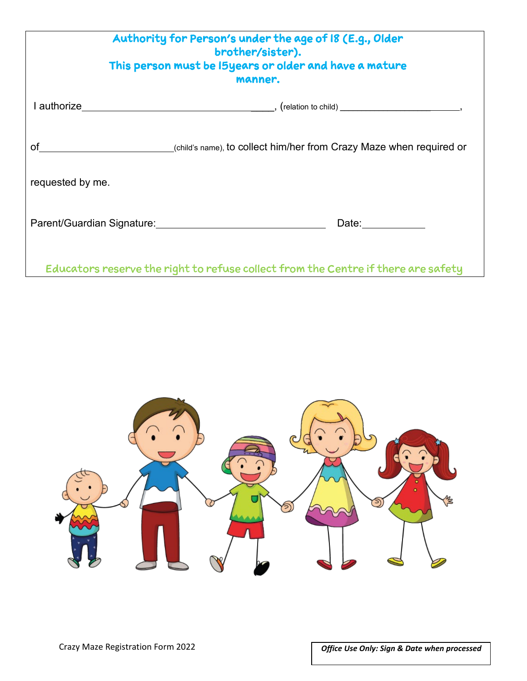| Authority for Person's under the age of 18 (E.g., Older<br>brother/sister).<br>This person must be I5years or older and have a mature<br>manner. |                                                                                   |  |  |
|--------------------------------------------------------------------------------------------------------------------------------------------------|-----------------------------------------------------------------------------------|--|--|
|                                                                                                                                                  |                                                                                   |  |  |
|                                                                                                                                                  | (child's name), to collect him/her from Crazy Maze when required or               |  |  |
| requested by me.                                                                                                                                 |                                                                                   |  |  |
|                                                                                                                                                  | Date:___________                                                                  |  |  |
|                                                                                                                                                  | Educators reserve the right to refuse collect from the Centre if there are safety |  |  |

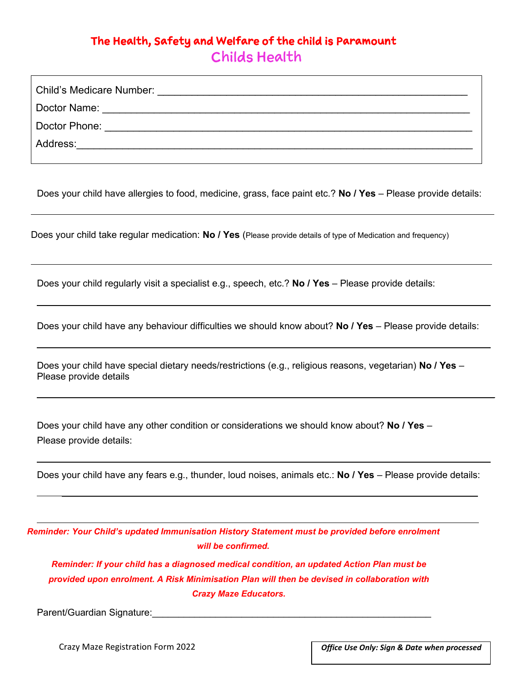## The Health, Safety and Welfare of the child is Paramount Childs Health

| Child's Medicare Number: |
|--------------------------|
| Doctor Name:             |
| Doctor Phone:            |
| Address:                 |
|                          |

Does your child have allergies to food, medicine, grass, face paint etc.? **No / Yes** – Please provide details:

Does your child take regular medication: **No / Yes** (Please provide details of type of Medication and frequency)

Does your child regularly visit a specialist e.g., speech, etc.? **No / Yes** – Please provide details:

Does your child have any behaviour difficulties we should know about? **No / Yes** – Please provide details:

Does your child have special dietary needs/restrictions (e.g., religious reasons, vegetarian) **No / Yes** – Please provide details

Does your child have any other condition or considerations we should know about? **No / Yes** – Please provide details:

Does your child have any fears e.g., thunder, loud noises, animals etc.: **No / Yes** – Please provide details:

*Reminder: Your Child's updated Immunisation History Statement must be provided before enrolment will be confirmed.*

*Reminder: If your child has a diagnosed medical condition, an updated Action Plan must be provided upon enrolment. A Risk Minimisation Plan will then be devised in collaboration with Crazy Maze Educators.*

Parent/Guardian Signature:

Crazy Maze Registration Form 2022 *Office Use Only: Sign & Date when processed*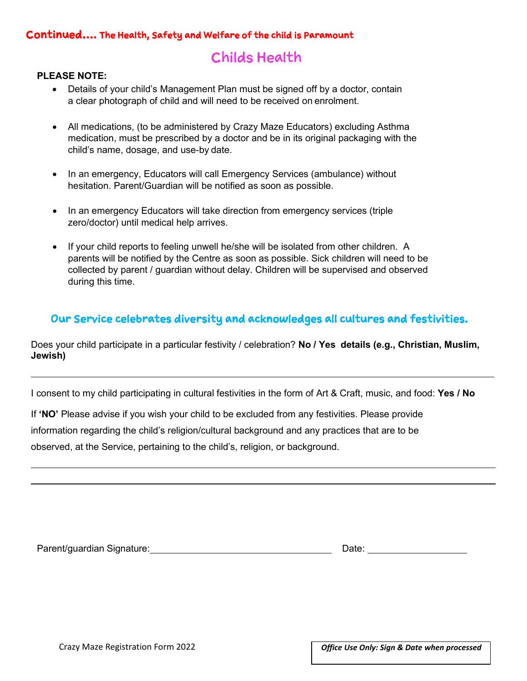### Continued…. The Health, Safety and Welfare of the child is Paramount

## Childs Health

### **PLEASE NOTE:**

- Details of your child's Management Plan must be signed off by a doctor, contain a clear photograph of child and will need to be received on enrolment.
- All medications, (to be administered by Crazy Maze Educators) excluding Asthma medication, must be prescribed by a doctor and be in its original packaging with the child's name, dosage, and use-by date.
- In an emergency, Educators will call Emergency Services (ambulance) without hesitation. Parent/Guardian will be notified as soon as possible.
- In an emergency Educators will take direction from emergency services (triple zero/doctor) until medical help arrives.
- If your child reports to feeling unwell he/she will be isolated from other children. A parents will be notified by the Centre as soon as possible. Sick children will need to be collected by parent / guardian without delay. Children will be supervised and observed during this time.

### Our Service celebrates diversity and acknowledges all cultures and festivities.

Does your child participate in a particular festivity / celebration? **No / Yes details (e.g., Christian, Muslim, Jewish)** 

I consent to my child participating in cultural festivities in the form of Art & Craft, music, and food: **Yes / No**

If **'NO'** Please advise if you wish your child to be excluded from any festivities. Please provide information regarding the child's religion/cultural background and any practices that are to be observed, at the Service, pertaining to the child's, religion, or background.

Parent/guardian Signature: <u>Date: Date: Date: Date: Date: Date: Date: Date: Date: Date: Date: Date: Date: Date: Date: Date: Date: Date: Date: Date: Date: Date: Date: Date: Date: Date: Date: Date: Date: Date: Date: Date: Da</u>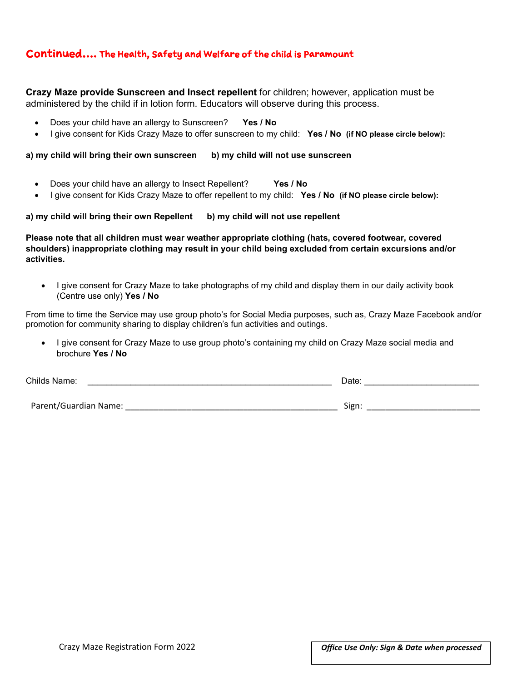### Continued…. The Health, Safety and Welfare of the child is Paramount

**Crazy Maze provide Sunscreen and Insect repellent** for children; however, application must be administered by the child if in lotion form. Educators will observe during this process.

- Does your child have an allergy to Sunscreen? **Yes / No**
- I give consent for Kids Crazy Maze to offer sunscreen to my child: **Yes / No (if NO please circle below):**

**a) my child will bring their own sunscreen b) my child will not use sunscreen**

- Does your child have an allergy to Insect Repellent? **Yes / No**
- I give consent for Kids Crazy Maze to offer repellent to my child: **Yes / No (if NO please circle below):**

a) my child will bring their own Repellent b) my child will not use repellent

**Please note that all children must wear weather appropriate clothing (hats, covered footwear, covered shoulders) inappropriate clothing may result in your child being excluded from certain excursions and/or activities.**

• I give consent for Crazy Maze to take photographs of my child and display them in our daily activity book (Centre use only) **Yes / No**

From time to time the Service may use group photo's for Social Media purposes, such as, Crazy Maze Facebook and/or promotion for community sharing to display children's fun activities and outings.

• I give consent for Crazy Maze to use group photo's containing my child on Crazy Maze social media and brochure **Yes / No**

| Childs Name:          | Date: |
|-----------------------|-------|
| Parent/Guardian Name: | Sign: |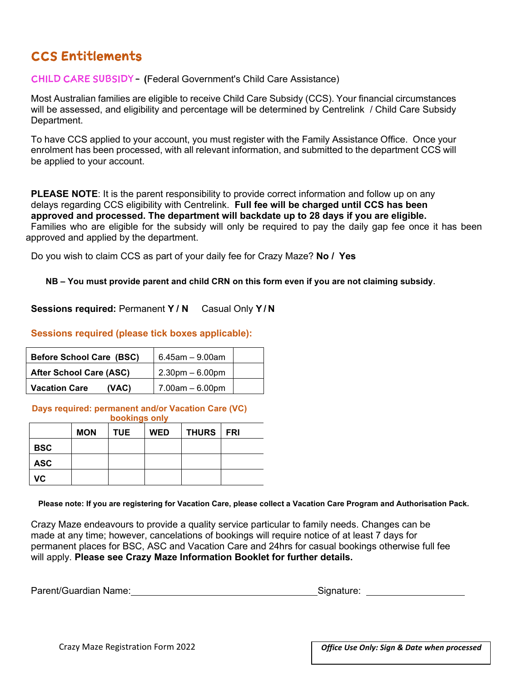## CCS Entitlements

CHILD CARE SUBSIDY **– (**Federal Government's Child Care Assistance)

Most Australian families are eligible to receive Child Care Subsidy (CCS). Your financial circumstances will be assessed, and eligibility and percentage will be determined by Centrelink / Child Care Subsidy Department.

To have CCS applied to your account, you must register with the Family Assistance Office. Once your enrolment has been processed, with all relevant information, and submitted to the department CCS will be applied to your account.

**PLEASE NOTE:** It is the parent responsibility to provide correct information and follow up on any delays regarding CCS eligibility with Centrelink. **Full fee will be charged until CCS has been approved and processed. The department will backdate up to 28 days if you are eligible.** Families who are eligible for the subsidy will only be required to pay the daily gap fee once it has been approved and applied by the department.

Do you wish to claim CCS as part of your daily fee for Crazy Maze? **No / Yes**

**NB – You must provide parent and child CRN on this form even if you are not claiming subsidy**.

**Sessions required:** Permanent **Y / N** Casual Only **Y / N**

#### **Sessions required (please tick boxes applicable):**

| <b>Before School Care (BSC)</b> | $6.45$ am $-9.00$ am |  |
|---------------------------------|----------------------|--|
| <b>After School Care (ASC)</b>  | $2.30$ pm $-6.00$ pm |  |
| <b>Vacation Care</b><br>(VAC)   | $7.00$ am $-6.00$ pm |  |

#### **Days required: permanent and/or Vacation Care (VC) bookings only**

| <b>bookings only</b> |            |            |            |              |            |  |
|----------------------|------------|------------|------------|--------------|------------|--|
|                      | <b>MON</b> | <b>TUE</b> | <b>WED</b> | <b>THURS</b> | <b>FRI</b> |  |
| <b>BSC</b>           |            |            |            |              |            |  |
| <b>ASC</b>           |            |            |            |              |            |  |
| VC.                  |            |            |            |              |            |  |

**Please note: If you are registering for Vacation Care, please collect a Vacation Care Program and Authorisation Pack.** 

Crazy Maze endeavours to provide a quality service particular to family needs. Changes can be made at any time; however, cancelations of bookings will require notice of at least 7 days for permanent places for BSC, ASC and Vacation Care and 24hrs for casual bookings otherwise full fee will apply. **Please see Crazy Maze Information Booklet for further details.**

| Parent/Guardian Name: | Signature: |
|-----------------------|------------|
|-----------------------|------------|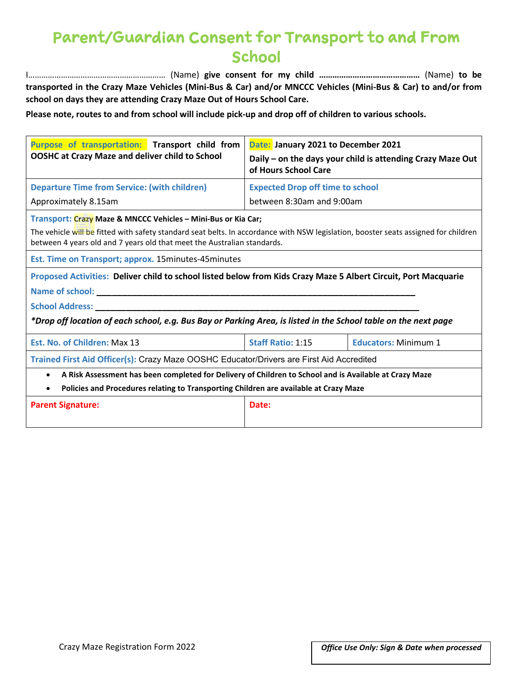# Parent/Guardian Consent for Transport to and From **School**

I……………………………………………………… (Name) **give consent for my child ………………………………………** (Name) **to be transported in the Crazy Maze Vehicles (Mini-Bus & Car) and/or MNCCC Vehicles (Mini-Bus & Car) to and/or from school on days they are attending Crazy Maze Out of Hours School Care.**

**Please note, routes to and from school will include pick-up and drop off of children to various schools.**

| Purpose of transportation: Transport child from<br><b>OOSHC at Crazy Maze and deliver child to School</b>                                                                                                                                                                       | Date: January 2021 to December 2021<br>Daily – on the days your child is attending Crazy Maze Out<br>of Hours School Care |                             |  |  |  |
|---------------------------------------------------------------------------------------------------------------------------------------------------------------------------------------------------------------------------------------------------------------------------------|---------------------------------------------------------------------------------------------------------------------------|-----------------------------|--|--|--|
| <b>Departure Time from Service: (with children)</b>                                                                                                                                                                                                                             | <b>Expected Drop off time to school</b>                                                                                   |                             |  |  |  |
| Approximately 8.15am                                                                                                                                                                                                                                                            | between 8:30am and 9:00am                                                                                                 |                             |  |  |  |
| Transport: Crazy Maze & MNCCC Vehicles - Mini-Bus or Kia Car;<br>The vehicle will be fitted with safety standard seat belts. In accordance with NSW legislation, booster seats assigned for children<br>between 4 years old and 7 years old that meet the Australian standards. |                                                                                                                           |                             |  |  |  |
| Est. Time on Transport; approx. 15 minutes-45 minutes                                                                                                                                                                                                                           |                                                                                                                           |                             |  |  |  |
| Proposed Activities: Deliver child to school listed below from Kids Crazy Maze 5 Albert Circuit, Port Macquarie                                                                                                                                                                 |                                                                                                                           |                             |  |  |  |
| <b>School Address:</b>                                                                                                                                                                                                                                                          |                                                                                                                           |                             |  |  |  |
| *Drop off location of each school, e.g. Bus Bay or Parking Area, is listed in the School table on the next page                                                                                                                                                                 |                                                                                                                           |                             |  |  |  |
| Est. No. of Children: Max 13                                                                                                                                                                                                                                                    | <b>Staff Ratio: 1:15</b>                                                                                                  | <b>Educators: Minimum 1</b> |  |  |  |
|                                                                                                                                                                                                                                                                                 | Trained First Aid Officer(s): Crazy Maze OOSHC Educator/Drivers are First Aid Accredited                                  |                             |  |  |  |
| A Risk Assessment has been completed for Delivery of Children to School and is Available at Crazy Maze<br>$\bullet$                                                                                                                                                             |                                                                                                                           |                             |  |  |  |
| Policies and Procedures relating to Transporting Children are available at Crazy Maze<br>$\bullet$                                                                                                                                                                              |                                                                                                                           |                             |  |  |  |
| <b>Parent Signature:</b>                                                                                                                                                                                                                                                        | Date:                                                                                                                     |                             |  |  |  |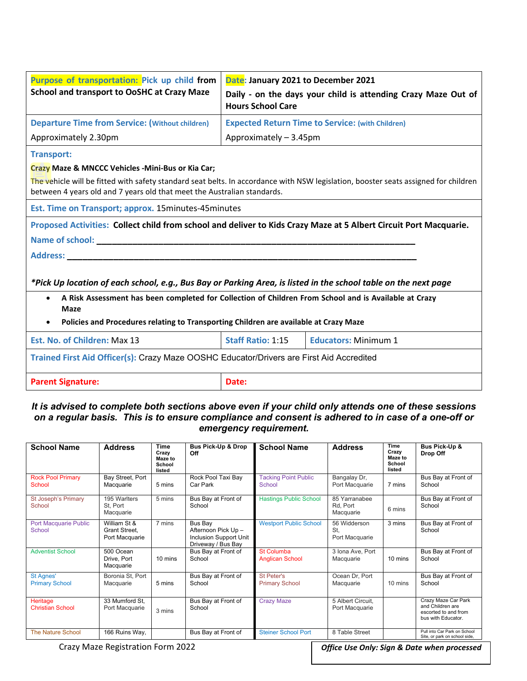| Purpose of transportation: Pick up child from<br><b>School and transport to OoSHC at Crazy Maze</b>                                                                                                                                   | Date: January 2021 to December 2021<br>Daily - on the days your child is attending Crazy Maze Out of<br><b>Hours School Care</b> |                             |  |  |
|---------------------------------------------------------------------------------------------------------------------------------------------------------------------------------------------------------------------------------------|----------------------------------------------------------------------------------------------------------------------------------|-----------------------------|--|--|
| <b>Departure Time from Service: (Without children)</b>                                                                                                                                                                                | <b>Expected Return Time to Service: (with Children)</b>                                                                          |                             |  |  |
| Approximately 2.30pm                                                                                                                                                                                                                  | Approximately - 3.45pm                                                                                                           |                             |  |  |
| <b>Transport:</b>                                                                                                                                                                                                                     |                                                                                                                                  |                             |  |  |
| Crazy Maze & MNCCC Vehicles - Mini-Bus or Kia Car;                                                                                                                                                                                    |                                                                                                                                  |                             |  |  |
| The vehicle will be fitted with safety standard seat belts. In accordance with NSW legislation, booster seats assigned for children<br>between 4 years old and 7 years old that meet the Australian standards.                        |                                                                                                                                  |                             |  |  |
| Est. Time on Transport; approx. 15minutes-45minutes                                                                                                                                                                                   |                                                                                                                                  |                             |  |  |
| Proposed Activities: Collect child from school and deliver to Kids Crazy Maze at 5 Albert Circuit Port Macquarie.                                                                                                                     |                                                                                                                                  |                             |  |  |
| Name of school: ____                                                                                                                                                                                                                  |                                                                                                                                  |                             |  |  |
| <b>Address:</b>                                                                                                                                                                                                                       |                                                                                                                                  |                             |  |  |
| *Pick Up location of each school, e.g., Bus Bay or Parking Area, is listed in the school table on the next page<br>A Risk Assessment has been completed for Collection of Children From School and is Available at Crazy<br>$\bullet$ |                                                                                                                                  |                             |  |  |
| <b>Maze</b>                                                                                                                                                                                                                           |                                                                                                                                  |                             |  |  |
| Policies and Procedures relating to Transporting Children are available at Crazy Maze<br>$\bullet$                                                                                                                                    |                                                                                                                                  |                             |  |  |
| Est. No. of Children: Max 13                                                                                                                                                                                                          | <b>Staff Ratio: 1:15</b>                                                                                                         | <b>Educators: Minimum 1</b> |  |  |
| Trained First Aid Officer(s): Crazy Maze OOSHC Educator/Drivers are First Aid Accredited                                                                                                                                              |                                                                                                                                  |                             |  |  |
| <b>Parent Signature:</b>                                                                                                                                                                                                              | Date:                                                                                                                            |                             |  |  |

#### *It is advised to complete both sections above even if your child only attends one of these sessions on a regular basis. This is to ensure compliance and consent is adhered to in case of a one-off or emergency requirement.*

| <b>School Name</b>                        | <b>Address</b>                                  | Time<br>Crazv<br>Maze to<br>School<br>listed | Bus Pick-Up & Drop<br>Off                                                      | <b>School Name</b>                          | <b>Address</b>                         | Time<br>Crazy<br><b>Maze to</b><br>School<br>listed | Bus Pick-Up &<br>Drop Off                                                             |
|-------------------------------------------|-------------------------------------------------|----------------------------------------------|--------------------------------------------------------------------------------|---------------------------------------------|----------------------------------------|-----------------------------------------------------|---------------------------------------------------------------------------------------|
| <b>Rock Pool Primary</b><br>School        | Bay Street, Port<br>Macquarie                   | 5 mins                                       | Rock Pool Taxi Bay<br>Car Park                                                 | <b>Tacking Point Public</b><br>School       | Bangalay Dr,<br>Port Macquarie         | 7 mins                                              | Bus Bay at Front of<br>School                                                         |
| St Joseph's Primary<br>School             | 195 Warlters<br>St. Port<br>Macquarie           | 5 mins                                       | Bus Bay at Front of<br>School                                                  | <b>Hastings Public School</b>               | 85 Yarranabee<br>Rd, Port<br>Macquarie | 6 mins                                              | Bus Bay at Front of<br>School                                                         |
| <b>Port Macquarie Public</b><br>School    | William St &<br>Grant Street,<br>Port Macquarie | 7 mins                                       | Bus Bay<br>Afternoon Pick Up -<br>Inclusion Support Unit<br>Driveway / Bus Bay | <b>Westport Public School</b>               | 56 Widderson<br>St.<br>Port Macquarie  | 3 mins                                              | Bus Bay at Front of<br>School                                                         |
| <b>Adventist School</b>                   | 500 Ocean<br>Drive, Port<br>Macquarie           | 10 mins                                      | Bus Bay at Front of<br>School                                                  | <b>St Columba</b><br><b>Anglican School</b> | 3 Iona Ave, Port<br>Macquarie          | 10 mins                                             | Bus Bay at Front of<br>School                                                         |
| <b>St Agnes'</b><br><b>Primary School</b> | Boronia St, Port<br>Macquarie                   | 5 mins                                       | Bus Bay at Front of<br>School                                                  | St Peter's<br><b>Primary School</b>         | Ocean Dr, Port<br>Macquarie            | 10 mins                                             | Bus Bay at Front of<br>School                                                         |
| Heritage<br><b>Christian School</b>       | 33 Mumford St.<br>Port Macquarie                | 3 mins                                       | Bus Bay at Front of<br>School                                                  | <b>Crazy Maze</b>                           | 5 Albert Circuit.<br>Port Macquarie    |                                                     | Crazy Maze Car Park<br>and Children are<br>escorted to and from<br>bus with Educator. |
| <b>The Nature School</b>                  | 166 Ruins Way,                                  |                                              | Bus Bay at Front of                                                            | <b>Steiner School Port</b>                  | 8 Table Street                         |                                                     | Pull into Car Park on School<br>Site, or park on school side,                         |

Crazy Maze Registration Form 2022 *Office Use Only: Sign & Date when processed*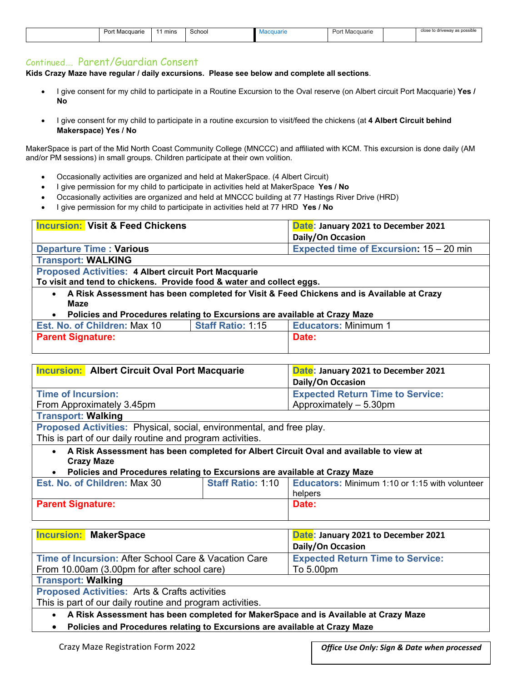|  | ⊔ດຕ+<br>Macquarie<br>. <i>.</i> | mins | Schoo | iuarit | 10 <sup>2</sup><br>Macquarie<br>u | close to driveway as possible |
|--|---------------------------------|------|-------|--------|-----------------------------------|-------------------------------|
|  |                                 |      |       |        |                                   |                               |

#### Continued…. Parent/Guardian Consent

**Kids Crazy Maze have regular / daily excursions. Please see below and complete all sections**.

- I give consent for my child to participate in a Routine Excursion to the Oval reserve (on Albert circuit Port Macquarie) **Yes / No**
- I give consent for my child to participate in a routine excursion to visit/feed the chickens (at **4 Albert Circuit behind Makerspace) Yes / No**

MakerSpace is part of the Mid North Coast Community College (MNCCC) and affiliated with KCM. This excursion is done daily (AM and/or PM sessions) in small groups. Children participate at their own volition.

- Occasionally activities are organized and held at MakerSpace. (4 Albert Circuit)
- I give permission for my child to participate in activities held at MakerSpace **Yes / No**
- Occasionally activities are organized and held at MNCCC building at 77 Hastings River Drive (HRD)
- I give permission for my child to participate in activities held at 77 HRD **Yes / No**

| <b>Incursion: Visit &amp; Feed Chickens</b>                                              | Date: January 2021 to December 2021     |  |  |  |  |
|------------------------------------------------------------------------------------------|-----------------------------------------|--|--|--|--|
|                                                                                          | Daily/On Occasion                       |  |  |  |  |
| <b>Departure Time: Various</b>                                                           | Expected time of Excursion: 15 - 20 min |  |  |  |  |
| <b>Transport: WALKING</b>                                                                |                                         |  |  |  |  |
| <b>Proposed Activities: 4 Albert circuit Port Macquarie</b>                              |                                         |  |  |  |  |
| To visit and tend to chickens. Provide food & water and collect eggs.                    |                                         |  |  |  |  |
| A Risk Assessment has been completed for Visit & Feed Chickens and is Available at Crazy |                                         |  |  |  |  |
| Maze                                                                                     |                                         |  |  |  |  |
| Policies and Procedures relating to Excursions are available at Crazy Maze               |                                         |  |  |  |  |

| <b>Est. No. of Children: Max 10</b> | <b>Staff Ratio: 1:15</b> | <b>Educators: Minimum</b> |  |  |
|-------------------------------------|--------------------------|---------------------------|--|--|
| <b>Parent Signature:</b>            |                          | Date:                     |  |  |
|                                     |                          |                           |  |  |

| <b>Incursion:</b> Albert Circuit Oval Port Macquarie                                                                    |                                         | Date: January 2021 to December 2021                                |  |  |
|-------------------------------------------------------------------------------------------------------------------------|-----------------------------------------|--------------------------------------------------------------------|--|--|
|                                                                                                                         | Daily/On Occasion                       |                                                                    |  |  |
| <b>Time of Incursion:</b>                                                                                               | <b>Expected Return Time to Service:</b> |                                                                    |  |  |
| From Approximately 3.45pm                                                                                               |                                         | Approximately - 5.30pm                                             |  |  |
| <b>Transport: Walking</b>                                                                                               |                                         |                                                                    |  |  |
| Proposed Activities: Physical, social, environmental, and free play.                                                    |                                         |                                                                    |  |  |
| This is part of our daily routine and program activities.                                                               |                                         |                                                                    |  |  |
| A Risk Assessment has been completed for Albert Circuit Oval and available to view at<br>$\bullet$<br><b>Crazy Maze</b> |                                         |                                                                    |  |  |
| Policies and Procedures relating to Excursions are available at Crazy Maze                                              |                                         |                                                                    |  |  |
| Est. No. of Children: Max 30                                                                                            |                                         | Staff Ratio: 1:10   Educators: Minimum 1:10 or 1:15 with volunteer |  |  |
|                                                                                                                         |                                         | helpers                                                            |  |  |
| <b>Parent Signature:</b>                                                                                                | Date:                                   |                                                                    |  |  |

| <b>Incursion: MakerSpace</b>                         | Date: January 2021 to December 2021<br><b>Daily/On Occasion</b> |  |  |  |
|------------------------------------------------------|-----------------------------------------------------------------|--|--|--|
| Time of Incursion: After School Care & Vacation Care | <b>Expected Return Time to Service:</b>                         |  |  |  |
| From 10.00am (3.00pm for after school care)          | To 5.00pm                                                       |  |  |  |
| <b>Transport: Walking</b>                            |                                                                 |  |  |  |

**Proposed Activities:** Arts & Crafts activities

This is part of our daily routine and program activities.

• **A Risk Assessment has been completed for MakerSpace and is Available at Crazy Maze** 

• **Policies and Procedures relating to Excursions are available at Crazy Maze**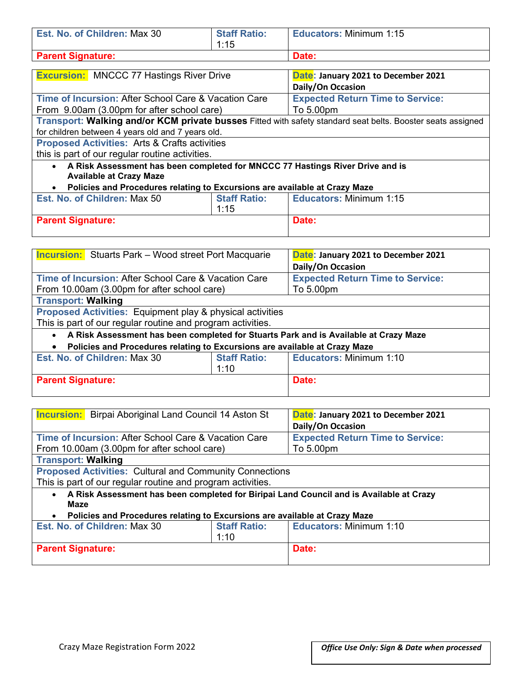| Est. No. of Children: Max 30                                                                                    | <b>Staff Ratio:</b><br>1:15                                                                                 | <b>Educators: Minimum 1:15</b> |  |  |  |
|-----------------------------------------------------------------------------------------------------------------|-------------------------------------------------------------------------------------------------------------|--------------------------------|--|--|--|
| <b>Parent Signature:</b>                                                                                        |                                                                                                             | Date:                          |  |  |  |
| <b>Excursion:</b> MNCCC 77 Hastings River Drive                                                                 | Date: January 2021 to December 2021<br>Daily/On Occasion                                                    |                                |  |  |  |
| Time of Incursion: After School Care & Vacation Care<br>From 9.00am (3.00pm for after school care)              | <b>Expected Return Time to Service:</b><br>To 5.00pm                                                        |                                |  |  |  |
|                                                                                                                 | Transport: Walking and/or KCM private busses Fitted with safety standard seat belts. Booster seats assigned |                                |  |  |  |
| for children between 4 years old and 7 years old.                                                               |                                                                                                             |                                |  |  |  |
| <b>Proposed Activities: Arts &amp; Crafts activities</b>                                                        |                                                                                                             |                                |  |  |  |
| this is part of our regular routine activities.                                                                 |                                                                                                             |                                |  |  |  |
| A Risk Assessment has been completed for MNCCC 77 Hastings River Drive and is<br><b>Available at Crazy Maze</b> |                                                                                                             |                                |  |  |  |
| Policies and Procedures relating to Excursions are available at Crazy Maze                                      |                                                                                                             |                                |  |  |  |
| Est. No. of Children: Max 50                                                                                    | <b>Staff Ratio:</b><br>1:15                                                                                 | <b>Educators: Minimum 1:15</b> |  |  |  |
| <b>Parent Signature:</b>                                                                                        |                                                                                                             | Date:                          |  |  |  |

| <b>Incursion:</b> Stuarts Park - Wood street Port Macquarie                                         |                                                      | Date: January 2021 to December 2021<br>Daily/On Occasion |  |
|-----------------------------------------------------------------------------------------------------|------------------------------------------------------|----------------------------------------------------------|--|
| Time of Incursion: After School Care & Vacation Care<br>From 10.00am (3.00pm for after school care) | <b>Expected Return Time to Service:</b><br>To 5.00pm |                                                          |  |
| <b>Transport: Walking</b>                                                                           |                                                      |                                                          |  |
| Proposed Activities: Equipment play & physical activities                                           |                                                      |                                                          |  |
| This is part of our regular routine and program activities.                                         |                                                      |                                                          |  |
| A Risk Assessment has been completed for Stuarts Park and is Available at Crazy Maze<br>$\bullet$   |                                                      |                                                          |  |
| Policies and Procedures relating to Excursions are available at Crazy Maze<br>$\bullet$             |                                                      |                                                          |  |
| Est. No. of Children: Max 30                                                                        | <b>Staff Ratio:</b>                                  | <b>Educators: Minimum 1:10</b>                           |  |
|                                                                                                     | 1:10                                                 |                                                          |  |
| <b>Parent Signature:</b>                                                                            |                                                      | Date:                                                    |  |

| <b>Incursion:</b> Birpai Aboriginal Land Council 14 Aston St                                                 |                                         | Date: January 2021 to December 2021<br>Daily/On Occasion |  |  |
|--------------------------------------------------------------------------------------------------------------|-----------------------------------------|----------------------------------------------------------|--|--|
| Time of Incursion: After School Care & Vacation Care                                                         | <b>Expected Return Time to Service:</b> |                                                          |  |  |
| From 10.00am (3.00pm for after school care)                                                                  |                                         | To 5.00pm                                                |  |  |
| <b>Transport: Walking</b>                                                                                    |                                         |                                                          |  |  |
| <b>Proposed Activities: Cultural and Community Connections</b>                                               |                                         |                                                          |  |  |
| This is part of our regular routine and program activities.                                                  |                                         |                                                          |  |  |
| A Risk Assessment has been completed for Biripai Land Council and is Available at Crazy<br>$\bullet$<br>Maze |                                         |                                                          |  |  |
| Policies and Procedures relating to Excursions are available at Crazy Maze<br>$\bullet$                      |                                         |                                                          |  |  |
| <b>Staff Ratio:</b><br>Est. No. of Children: Max 30                                                          |                                         | Educators: Minimum 1:10                                  |  |  |
|                                                                                                              | 1:10                                    |                                                          |  |  |
| <b>Parent Signature:</b>                                                                                     | Date:                                   |                                                          |  |  |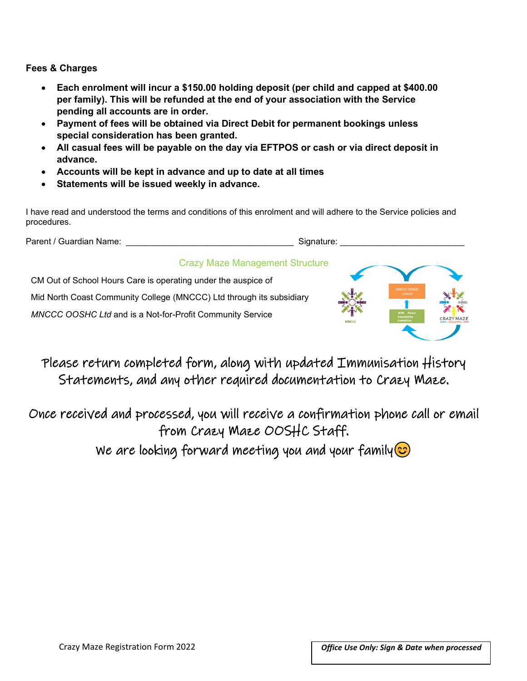#### **Fees & Charges**

- **Each enrolment will incur a \$150.00 holding deposit (per child and capped at \$400.00 per family). This will be refunded at the end of your association with the Service pending all accounts are in order.**
- **Payment of fees will be obtained via Direct Debit for permanent bookings unless special consideration has been granted.**
- **All casual fees will be payable on the day via EFTPOS or cash or via direct deposit in advance.**
- **Accounts will be kept in advance and up to date at all times**
- **Statements will be issued weekly in advance.**

I have read and understood the terms and conditions of this enrolment and will adhere to the Service policies and procedures.

Parent / Guardian Name: etc. and a state of the Signature:  $\blacksquare$ 

### Crazy Maze Management Structure

CM Out of School Hours Care is operating under the auspice of Mid North Coast Community College (MNCCC) Ltd through its subsidiary *MNCCC OOSHC Ltd* and is a Not-for-Profit Community Service



Please return completed form, along with updated Immunisation History Statements, and any other required documentation to Crazy Maze.

Once received and processed, you will receive a confirmation phone call or email from Crazy Maze OOSHC Staff.

We are looking forward meeting you and your family  $\odot$